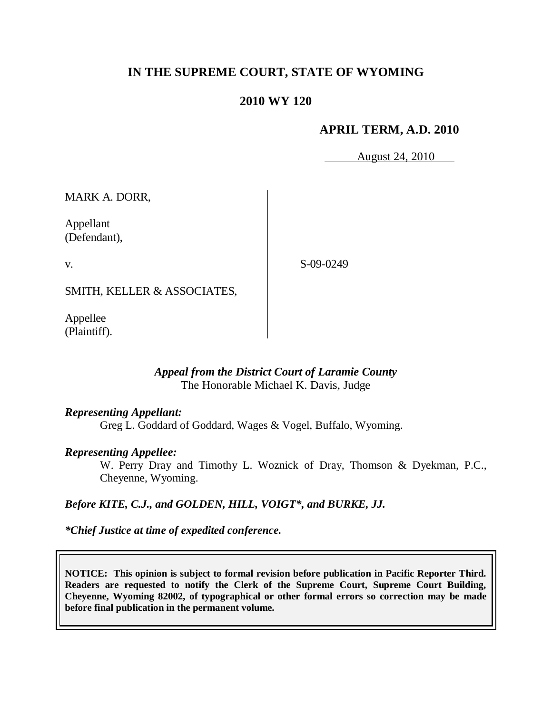# **IN THE SUPREME COURT, STATE OF WYOMING**

# **2010 WY 120**

# **APRIL TERM, A.D. 2010**

August 24, 2010

MARK A. DORR,

Appellant (Defendant),

v.

S-09-0249

SMITH, KELLER & ASSOCIATES,

Appellee (Plaintiff).

## *Appeal from the District Court of Laramie County* The Honorable Michael K. Davis, Judge

## *Representing Appellant:*

Greg L. Goddard of Goddard, Wages & Vogel, Buffalo, Wyoming.

## *Representing Appellee:*

W. Perry Dray and Timothy L. Woznick of Dray, Thomson & Dyekman, P.C., Cheyenne, Wyoming.

## *Before KITE, C.J., and GOLDEN, HILL, VOIGT\*, and BURKE, JJ.*

*\*Chief Justice at time of expedited conference.*

**NOTICE: This opinion is subject to formal revision before publication in Pacific Reporter Third. Readers are requested to notify the Clerk of the Supreme Court, Supreme Court Building, Cheyenne, Wyoming 82002, of typographical or other formal errors so correction may be made before final publication in the permanent volume.**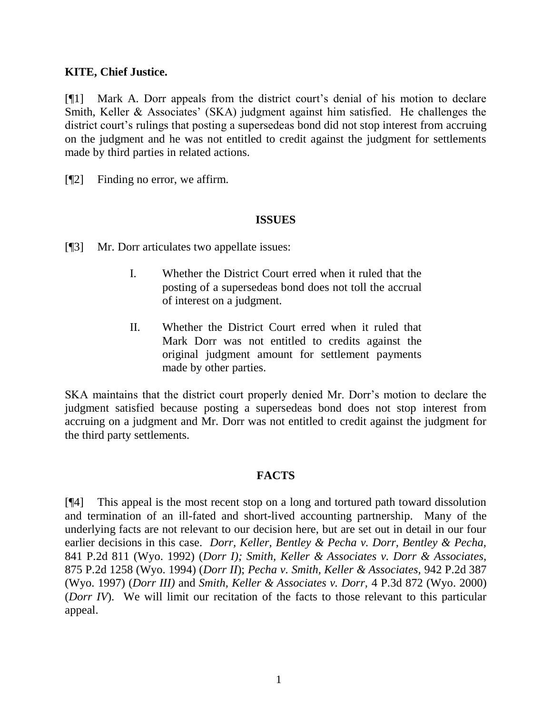# **KITE, Chief Justice.**

[¶1] Mark A. Dorr appeals from the district court"s denial of his motion to declare Smith, Keller & Associates' (SKA) judgment against him satisfied. He challenges the district court's rulings that posting a supersedeas bond did not stop interest from accruing on the judgment and he was not entitled to credit against the judgment for settlements made by third parties in related actions.

[¶2] Finding no error, we affirm.

# **ISSUES**

[¶3] Mr. Dorr articulates two appellate issues:

- I. Whether the District Court erred when it ruled that the posting of a supersedeas bond does not toll the accrual of interest on a judgment.
- II. Whether the District Court erred when it ruled that Mark Dorr was not entitled to credits against the original judgment amount for settlement payments made by other parties.

SKA maintains that the district court properly denied Mr. Dorr"s motion to declare the judgment satisfied because posting a supersedeas bond does not stop interest from accruing on a judgment and Mr. Dorr was not entitled to credit against the judgment for the third party settlements.

## **FACTS**

[¶4] This appeal is the most recent stop on a long and tortured path toward dissolution and termination of an ill-fated and short-lived accounting partnership. Many of the underlying facts are not relevant to our decision here, but are set out in detail in our four earlier decisions in this case. *Dorr, Keller, Bentley & Pecha v. Dorr, Bentley & Pecha,*  841 P.2d 811 (Wyo. 1992) (*Dorr I); Smith, Keller & Associates v. Dorr & Associates,*  875 P.2d 1258 (Wyo. 1994) (*Dorr II*); *Pecha v. Smith, Keller & Associates,* 942 P.2d 387 (Wyo. 1997) (*Dorr III)* and *Smith, Keller & Associates v. Dorr,* 4 P.3d 872 (Wyo. 2000) (*Dorr IV*). We will limit our recitation of the facts to those relevant to this particular appeal.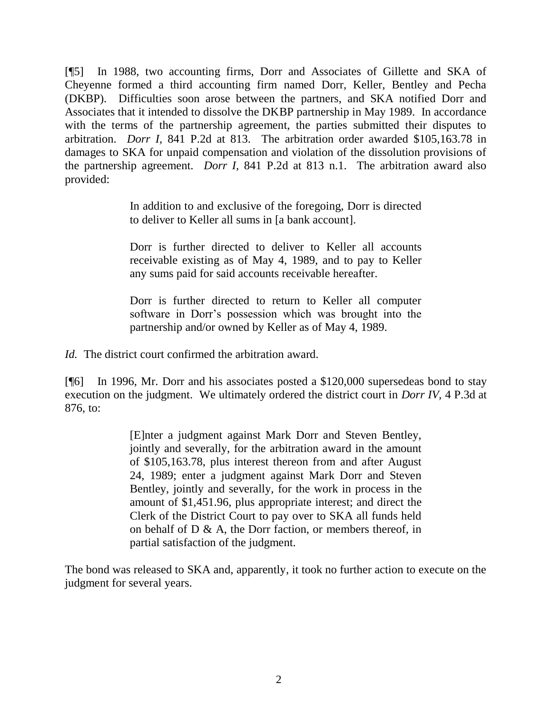[¶5] In 1988, two accounting firms, Dorr and Associates of Gillette and SKA of Cheyenne formed a third accounting firm named Dorr, Keller, Bentley and Pecha (DKBP). Difficulties soon arose between the partners, and SKA notified Dorr and Associates that it intended to dissolve the DKBP partnership in May 1989. In accordance with the terms of the partnership agreement, the parties submitted their disputes to arbitration. *Dorr I,* 841 P.2d at 813. The arbitration order awarded \$105,163.78 in damages to SKA for unpaid compensation and violation of the dissolution provisions of the partnership agreement. *Dorr I,* 841 P.2d at 813 n.1. The arbitration award also provided:

> In addition to and exclusive of the foregoing, Dorr is directed to deliver to Keller all sums in [a bank account].

> Dorr is further directed to deliver to Keller all accounts receivable existing as of May 4, 1989, and to pay to Keller any sums paid for said accounts receivable hereafter.

> Dorr is further directed to return to Keller all computer software in Dorr"s possession which was brought into the partnership and/or owned by Keller as of May 4, 1989.

*Id.* The district court confirmed the arbitration award.

[¶6] In 1996, Mr. Dorr and his associates posted a \$120,000 supersedeas bond to stay execution on the judgment. We ultimately ordered the district court in *Dorr IV,* 4 P.3d at 876, to:

> [E]nter a judgment against Mark Dorr and Steven Bentley, jointly and severally, for the arbitration award in the amount of \$105,163.78, plus interest thereon from and after August 24, 1989; enter a judgment against Mark Dorr and Steven Bentley, jointly and severally, for the work in process in the amount of \$1,451.96, plus appropriate interest; and direct the Clerk of the District Court to pay over to SKA all funds held on behalf of  $D \& A$ , the Dorr faction, or members thereof, in partial satisfaction of the judgment.

The bond was released to SKA and, apparently, it took no further action to execute on the judgment for several years.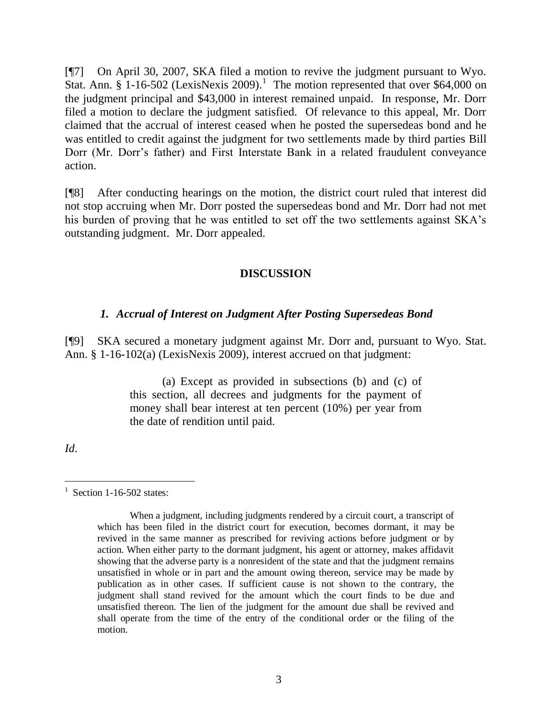[¶7] On April 30, 2007, SKA filed a motion to revive the judgment pursuant to Wyo. Stat. Ann.  $\S$  1-16-502 (LexisNexis 2009).<sup>1</sup> The motion represented that over \$64,000 on the judgment principal and \$43,000 in interest remained unpaid. In response, Mr. Dorr filed a motion to declare the judgment satisfied. Of relevance to this appeal, Mr. Dorr claimed that the accrual of interest ceased when he posted the supersedeas bond and he was entitled to credit against the judgment for two settlements made by third parties Bill Dorr (Mr. Dorr"s father) and First Interstate Bank in a related fraudulent conveyance action.

[¶8] After conducting hearings on the motion, the district court ruled that interest did not stop accruing when Mr. Dorr posted the supersedeas bond and Mr. Dorr had not met his burden of proving that he was entitled to set off the two settlements against SKA"s outstanding judgment. Mr. Dorr appealed.

# **DISCUSSION**

# *1. Accrual of Interest on Judgment After Posting Supersedeas Bond*

[¶9] SKA secured a monetary judgment against Mr. Dorr and, pursuant to Wyo. Stat. Ann. § 1-16-102(a) (LexisNexis 2009), interest accrued on that judgment:

> (a) Except as provided in subsections (b) and (c) of this section, all decrees and judgments for the payment of money shall bear interest at ten percent (10%) per year from the date of rendition until paid.

*Id*.

 $\overline{a}$ 

 $1$  Section 1-16-502 states:

When a judgment, including judgments rendered by a circuit court, a transcript of which has been filed in the district court for execution, becomes dormant, it may be revived in the same manner as prescribed for reviving actions before judgment or by action. When either party to the dormant judgment, his agent or attorney, makes affidavit showing that the adverse party is a nonresident of the state and that the judgment remains unsatisfied in whole or in part and the amount owing thereon, service may be made by publication as in other cases. If sufficient cause is not shown to the contrary, the judgment shall stand revived for the amount which the court finds to be due and unsatisfied thereon. The lien of the judgment for the amount due shall be revived and shall operate from the time of the entry of the conditional order or the filing of the motion.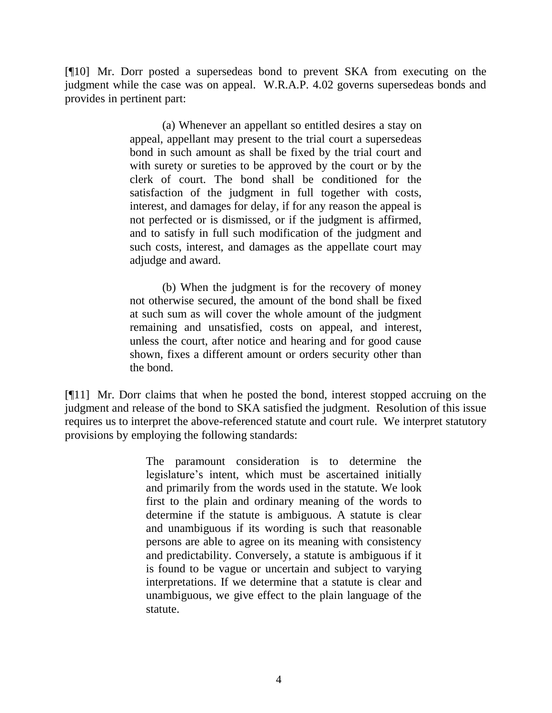[¶10] Mr. Dorr posted a supersedeas bond to prevent SKA from executing on the judgment while the case was on appeal. W.R.A.P. 4.02 governs supersedeas bonds and provides in pertinent part:

> (a) Whenever an appellant so entitled desires a stay on appeal, appellant may present to the trial court a supersedeas bond in such amount as shall be fixed by the trial court and with surety or sureties to be approved by the court or by the clerk of court. The bond shall be conditioned for the satisfaction of the judgment in full together with costs, interest, and damages for delay, if for any reason the appeal is not perfected or is dismissed, or if the judgment is affirmed, and to satisfy in full such modification of the judgment and such costs, interest, and damages as the appellate court may adjudge and award.

> (b) When the judgment is for the recovery of money not otherwise secured, the amount of the bond shall be fixed at such sum as will cover the whole amount of the judgment remaining and unsatisfied, costs on appeal, and interest, unless the court, after notice and hearing and for good cause shown, fixes a different amount or orders security other than the bond.

[¶11] Mr. Dorr claims that when he posted the bond, interest stopped accruing on the judgment and release of the bond to SKA satisfied the judgment. Resolution of this issue requires us to interpret the above-referenced statute and court rule. We interpret statutory provisions by employing the following standards:

> The paramount consideration is to determine the legislature"s intent, which must be ascertained initially and primarily from the words used in the statute. We look first to the plain and ordinary meaning of the words to determine if the statute is ambiguous. A statute is clear and unambiguous if its wording is such that reasonable persons are able to agree on its meaning with consistency and predictability. Conversely, a statute is ambiguous if it is found to be vague or uncertain and subject to varying interpretations. If we determine that a statute is clear and unambiguous, we give effect to the plain language of the statute.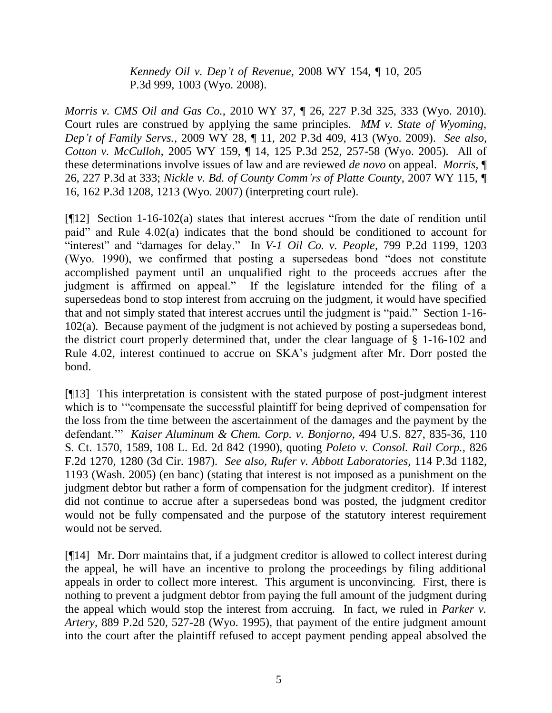*[Kennedy Oil v. Dep't of Revenue,](http://www.westlaw.com/Find/Default.wl?rs=dfa1.0&vr=2.0&DB=4645&FindType=Y&ReferencePositionType=S&SerialNum=2017791990&ReferencePosition=1003)* [2008 WY 154, ¶ 10, 205](http://www.westlaw.com/Find/Default.wl?rs=dfa1.0&vr=2.0&DB=4645&FindType=Y&ReferencePositionType=S&SerialNum=2017791990&ReferencePosition=1003)  P.3d 999, 1003 (Wyo. 2008).

*Morris v. CMS Oil and Gas Co.,* 2010 WY 37, ¶ 26, 227 P.3d 325, 333 (Wyo. 2010). Court rules are construed by applying the same principles. *MM v. State of Wyoming, Dep't of Family Servs.,* 2009 WY 28, ¶ 11, 202 P.3d 409, 413 (Wyo. 2009). *See also, [Cotton v. McCulloh,](http://www.westlaw.com/Find/Default.wl?rs=dfa1.0&vr=2.0&DB=4645&FindType=Y&ReferencePositionType=S&SerialNum=2007896569&ReferencePosition=257)* [2005 WY 159, ¶ 14, 125 P.3d 252, 257-58 \(Wyo.](http://www.westlaw.com/Find/Default.wl?rs=dfa1.0&vr=2.0&DB=4645&FindType=Y&ReferencePositionType=S&SerialNum=2007896569&ReferencePosition=257) 2005). All of these determinations involve issues of law and are reviewed *de novo* on appeal. *Morris,* ¶ 26, 227 P.3d at 333; *Nickle v. Bd. of County Comm'rs of Platte County,* 2007 WY 115, ¶ 16, 162 P.3d 1208, 1213 (Wyo. 2007) (interpreting court rule).

[¶12] Section 1-16-102(a) states that interest accrues "from the date of rendition until paid" and Rule 4.02(a) indicates that the bond should be conditioned to account for "interest" and "damages for delay." In *V-1 Oil Co. v. People*, 799 P.2d 1199, 1203 (Wyo. 1990), we confirmed that posting a supersedeas bond "does not constitute accomplished payment until an unqualified right to the proceeds accrues after the judgment is affirmed on appeal." If the legislature intended for the filing of a supersedeas bond to stop interest from accruing on the judgment, it would have specified that and not simply stated that interest accrues until the judgment is "paid." Section 1-16- 102(a). Because payment of the judgment is not achieved by posting a supersedeas bond, the district court properly determined that, under the clear language of § 1-16-102 and Rule 4.02, interest continued to accrue on SKA"s judgment after Mr. Dorr posted the bond.

[¶13] This interpretation is consistent with the stated purpose of post-judgment interest which is to "compensate the successful plaintiff for being deprived of compensation for the loss from the time between the ascertainment of the damages and the payment by the defendant."" *Kaiser Aluminum & Chem. Corp. v. Bonjorno,* 494 U.S. 827, 835-36, 110 S. Ct. 1570, 1589, 108 L. Ed. 2d 842 (1990), quoting *Poleto v. Consol. Rail Corp.,* 826 F.2d 1270, 1280 (3d Cir. 1987). *See also, Rufer v. Abbott Laboratories,* 114 P.3d 1182, 1193 (Wash. 2005) (en banc) (stating that interest is not imposed as a punishment on the judgment debtor but rather a form of compensation for the judgment creditor). If interest did not continue to accrue after a supersedeas bond was posted, the judgment creditor would not be fully compensated and the purpose of the statutory interest requirement would not be served.

[¶14] Mr. Dorr maintains that, if a judgment creditor is allowed to collect interest during the appeal, he will have an incentive to prolong the proceedings by filing additional appeals in order to collect more interest. This argument is unconvincing. First, there is nothing to prevent a judgment debtor from paying the full amount of the judgment during the appeal which would stop the interest from accruing. In fact, we ruled in *Parker v. Artery,* 889 P.2d 520, 527-28 (Wyo. 1995), that payment of the entire judgment amount into the court after the plaintiff refused to accept payment pending appeal absolved the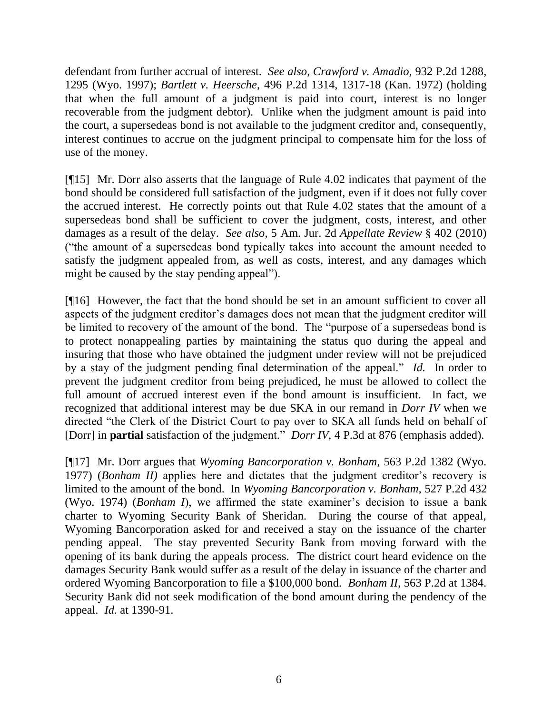defendant from further accrual of interest. *See also*, *Crawford v. Amadio,* 932 P.2d 1288, 1295 (Wyo. 1997); *Bartlett v. Heersche,* 496 P.2d 1314, 1317-18 (Kan. 1972) (holding that when the full amount of a judgment is paid into court, interest is no longer recoverable from the judgment debtor). Unlike when the judgment amount is paid into the court, a supersedeas bond is not available to the judgment creditor and, consequently, interest continues to accrue on the judgment principal to compensate him for the loss of use of the money.

[¶15] Mr. Dorr also asserts that the language of Rule 4.02 indicates that payment of the bond should be considered full satisfaction of the judgment, even if it does not fully cover the accrued interest. He correctly points out that Rule 4.02 states that the amount of a supersedeas bond shall be sufficient to cover the judgment, costs, interest, and other damages as a result of the delay. *See also*, 5 Am. Jur. 2d *Appellate Review* § 402 (2010) ("the amount of a supersedeas bond typically takes into account the amount needed to satisfy the judgment appealed from, as well as costs, interest, and any damages which might be caused by the stay pending appeal").

[¶16] However, the fact that the bond should be set in an amount sufficient to cover all aspects of the judgment creditor"s damages does not mean that the judgment creditor will be limited to recovery of the amount of the bond. The "purpose of a supersedeas bond is to protect nonappealing parties by maintaining the status quo during the appeal and insuring that those who have obtained the judgment under review will not be prejudiced by a stay of the judgment pending final determination of the appeal." *Id.* In order to prevent the judgment creditor from being prejudiced, he must be allowed to collect the full amount of accrued interest even if the bond amount is insufficient. In fact, we recognized that additional interest may be due SKA in our remand in *Dorr IV* when we directed "the Clerk of the District Court to pay over to SKA all funds held on behalf of [Dorr] in **partial** satisfaction of the judgment." *Dorr IV,* 4 P.3d at 876 (emphasis added).

[¶17] Mr. Dorr argues that *Wyoming Bancorporation v. Bonham,* 563 P.2d 1382 (Wyo. 1977) (*Bonham II)* applies here and dictates that the judgment creditor"s recovery is limited to the amount of the bond. In *Wyoming Bancorporation v. Bonham,* 527 P.2d 432 (Wyo. 1974) (*Bonham I*), we affirmed the state examiner"s decision to issue a bank charter to Wyoming Security Bank of Sheridan. During the course of that appeal, Wyoming Bancorporation asked for and received a stay on the issuance of the charter pending appeal. The stay prevented Security Bank from moving forward with the opening of its bank during the appeals process. The district court heard evidence on the damages Security Bank would suffer as a result of the delay in issuance of the charter and ordered Wyoming Bancorporation to file a \$100,000 bond. *Bonham II,* 563 P.2d at 1384. Security Bank did not seek modification of the bond amount during the pendency of the appeal. *Id.* at 1390-91.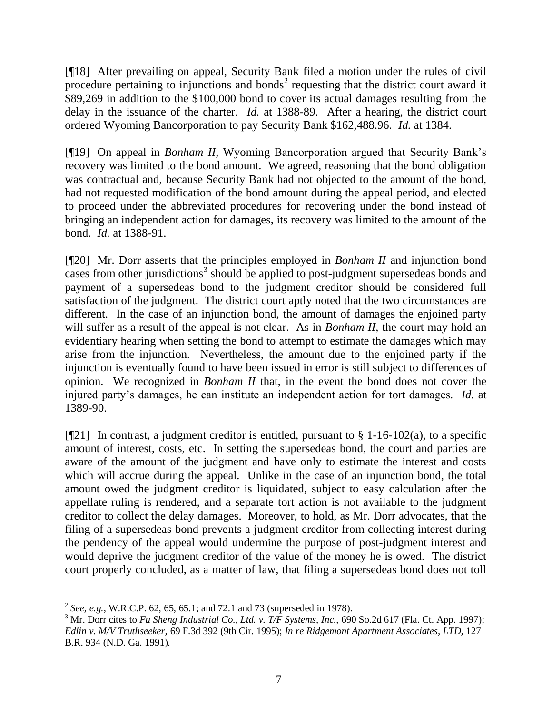[¶18] After prevailing on appeal, Security Bank filed a motion under the rules of civil procedure pertaining to injunctions and bonds<sup>2</sup> requesting that the district court award it \$89,269 in addition to the \$100,000 bond to cover its actual damages resulting from the delay in the issuance of the charter. *Id.* at 1388-89.After a hearing, the district court ordered Wyoming Bancorporation to pay Security Bank \$162,488.96. *Id.* at 1384.

[¶19] On appeal in *Bonham II*, Wyoming Bancorporation argued that Security Bank"s recovery was limited to the bond amount. We agreed, reasoning that the bond obligation was contractual and, because Security Bank had not objected to the amount of the bond, had not requested modification of the bond amount during the appeal period, and elected to proceed under the abbreviated procedures for recovering under the bond instead of bringing an independent action for damages, its recovery was limited to the amount of the bond. *Id.* at 1388-91.

[¶20] Mr. Dorr asserts that the principles employed in *Bonham II* and injunction bond cases from other jurisdictions<sup>3</sup> should be applied to post-judgment supersedeas bonds and payment of a supersedeas bond to the judgment creditor should be considered full satisfaction of the judgment. The district court aptly noted that the two circumstances are different. In the case of an injunction bond, the amount of damages the enjoined party will suffer as a result of the appeal is not clear. As in *Bonham II*, the court may hold an evidentiary hearing when setting the bond to attempt to estimate the damages which may arise from the injunction. Nevertheless, the amount due to the enjoined party if the injunction is eventually found to have been issued in error is still subject to differences of opinion. We recognized in *Bonham II* that, in the event the bond does not cover the injured party"s damages, he can institute an independent action for tort damages. *Id.* at 1389-90.

[ $[21]$  In contrast, a judgment creditor is entitled, pursuant to § 1-16-102(a), to a specific amount of interest, costs, etc. In setting the supersedeas bond, the court and parties are aware of the amount of the judgment and have only to estimate the interest and costs which will accrue during the appeal. Unlike in the case of an injunction bond, the total amount owed the judgment creditor is liquidated, subject to easy calculation after the appellate ruling is rendered, and a separate tort action is not available to the judgment creditor to collect the delay damages. Moreover, to hold, as Mr. Dorr advocates, that the filing of a supersedeas bond prevents a judgment creditor from collecting interest during the pendency of the appeal would undermine the purpose of post-judgment interest and would deprive the judgment creditor of the value of the money he is owed. The district court properly concluded, as a matter of law, that filing a supersedeas bond does not toll

 $\overline{a}$ 

<sup>2</sup> *See, e.g.*, W.R.C.P. 62, 65, 65.1; and 72.1 and 73 (superseded in 1978).

<sup>&</sup>lt;sup>3</sup> Mr. Dorr cites to *Fu Sheng Industrial Co., Ltd. v. T/F Systems, Inc.,* 690 So.2d 617 (Fla. Ct. App. 1997); *Edlin v. M/V Truthseeker,* 69 F.3d 392 (9th Cir. 1995); *In re Ridgemont Apartment Associates, LTD,* 127 B.R. 934 (N.D. Ga. 1991).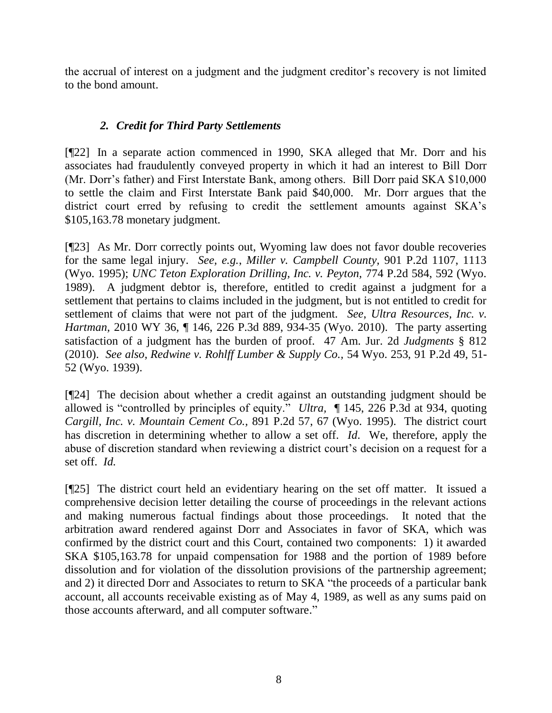the accrual of interest on a judgment and the judgment creditor"s recovery is not limited to the bond amount.

# *2. Credit for Third Party Settlements*

[¶22] In a separate action commenced in 1990, SKA alleged that Mr. Dorr and his associates had fraudulently conveyed property in which it had an interest to Bill Dorr (Mr. Dorr"s father) and First Interstate Bank, among others. Bill Dorr paid SKA \$10,000 to settle the claim and First Interstate Bank paid \$40,000. Mr. Dorr argues that the district court erred by refusing to credit the settlement amounts against SKA"s \$105,163.78 monetary judgment.

[¶23] As Mr. Dorr correctly points out, Wyoming law does not favor double recoveries for the same legal injury. *See, e.g.*, *Miller v. Campbell County,* 901 P.2d 1107, 1113 (Wyo. 1995); *UNC Teton Exploration Drilling, Inc. v. Peyton,* 774 P.2d 584, 592 (Wyo. 1989). A judgment debtor is, therefore, entitled to credit against a judgment for a settlement that pertains to claims included in the judgment, but is not entitled to credit for settlement of claims that were not part of the judgment. *See*, *Ultra Resources, Inc. v. Hartman,* 2010 WY 36, ¶ 146, 226 P.3d 889, 934-35 (Wyo. 2010). The party asserting satisfaction of a judgment has the burden of proof. 47 Am. Jur. 2d *Judgments* § 812 (2010). *See also*, *Redwine v. Rohlff Lumber & Supply Co.,* 54 Wyo. 253, 91 P.2d 49, 51- 52 (Wyo. 1939).

[¶24] The decision about whether a credit against an outstanding judgment should be allowed is "controlled by principles of equity." *Ultra,* ¶ 145, 226 P.3d at 934, quoting *[Cargill, Inc. v. Mountain Cement Co.,](http://www.westlaw.com/Find/Default.wl?rs=dfa1.0&vr=2.0&DB=661&FindType=Y&ReferencePositionType=S&SerialNum=1995058390&ReferencePosition=67)* [891 P.2d 57, 67 \(Wyo.](http://www.westlaw.com/Find/Default.wl?rs=dfa1.0&vr=2.0&DB=661&FindType=Y&ReferencePositionType=S&SerialNum=1995058390&ReferencePosition=67) 1995). The district court has discretion in determining whether to allow a set off. *Id*. We, therefore, apply the abuse of discretion standard when reviewing a district court's decision on a request for a set off. *Id.*

[¶25] The district court held an evidentiary hearing on the set off matter. It issued a comprehensive decision letter detailing the course of proceedings in the relevant actions and making numerous factual findings about those proceedings. It noted that the arbitration award rendered against Dorr and Associates in favor of SKA, which was confirmed by the district court and this Court, contained two components: 1) it awarded SKA \$105,163.78 for unpaid compensation for 1988 and the portion of 1989 before dissolution and for violation of the dissolution provisions of the partnership agreement; and 2) it directed Dorr and Associates to return to SKA "the proceeds of a particular bank account, all accounts receivable existing as of May 4, 1989, as well as any sums paid on those accounts afterward, and all computer software."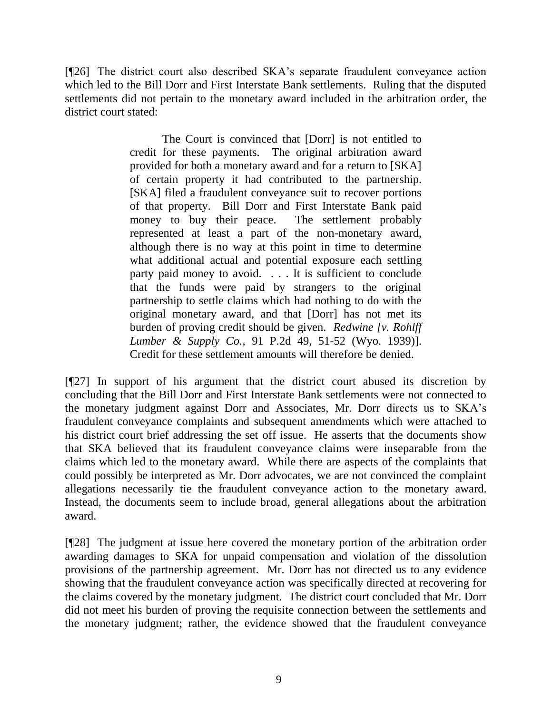[¶26] The district court also described SKA"s separate fraudulent conveyance action which led to the Bill Dorr and First Interstate Bank settlements. Ruling that the disputed settlements did not pertain to the monetary award included in the arbitration order, the district court stated:

> The Court is convinced that [Dorr] is not entitled to credit for these payments. The original arbitration award provided for both a monetary award and for a return to [SKA] of certain property it had contributed to the partnership. [SKA] filed a fraudulent conveyance suit to recover portions of that property. Bill Dorr and First Interstate Bank paid money to buy their peace. The settlement probably represented at least a part of the non-monetary award, although there is no way at this point in time to determine what additional actual and potential exposure each settling party paid money to avoid. . . . It is sufficient to conclude that the funds were paid by strangers to the original partnership to settle claims which had nothing to do with the original monetary award, and that [Dorr] has not met its burden of proving credit should be given. *Redwine [v. Rohlff Lumber & Supply Co.,* 91 P.2d 49, 51-52 (Wyo. 1939)]. Credit for these settlement amounts will therefore be denied.

[¶27] In support of his argument that the district court abused its discretion by concluding that the Bill Dorr and First Interstate Bank settlements were not connected to the monetary judgment against Dorr and Associates, Mr. Dorr directs us to SKA"s fraudulent conveyance complaints and subsequent amendments which were attached to his district court brief addressing the set off issue. He asserts that the documents show that SKA believed that its fraudulent conveyance claims were inseparable from the claims which led to the monetary award. While there are aspects of the complaints that could possibly be interpreted as Mr. Dorr advocates, we are not convinced the complaint allegations necessarily tie the fraudulent conveyance action to the monetary award. Instead, the documents seem to include broad, general allegations about the arbitration award.

[¶28] The judgment at issue here covered the monetary portion of the arbitration order awarding damages to SKA for unpaid compensation and violation of the dissolution provisions of the partnership agreement. Mr. Dorr has not directed us to any evidence showing that the fraudulent conveyance action was specifically directed at recovering for the claims covered by the monetary judgment. The district court concluded that Mr. Dorr did not meet his burden of proving the requisite connection between the settlements and the monetary judgment; rather, the evidence showed that the fraudulent conveyance